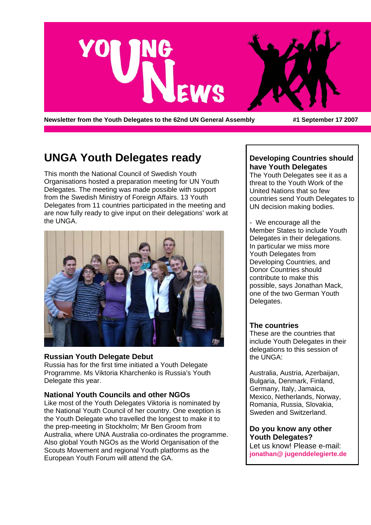

Newsletter from the Youth Delegates to the 62nd UN General Assembly **#1** September 17 2007

## **UNGA Youth Delegates ready**

This month the National Council of Swedish Youth Organisations hosted a preparation meeting for UN Youth Delegates. The meeting was made possible with support from the Swedish Ministry of Foreign Affairs. 13 Youth Delegates from 11 countries participated in the meeting and are now fully ready to give input on their delegations' work at the UNGA.



#### **Russian Youth Delegate Debut**

Russia has for the first time initiated a Youth Delegate Programme. Ms Viktoria Kharchenko is Russia's Youth Delegate this year.

#### **National Youth Councils and other NGOs**

Like most of the Youth Delegates Viktoria is nominated by the National Youth Council of her country. One exeption is the Youth Delegate who travelled the longest to make it to the prep-meeting in Stockholm; Mr Ben Groom from Australia, where UNA Australia co-ordinates the programme. Also global Youth NGOs as the World Organisation of the Scouts Movement and regional Youth platforms as the European Youth Forum will attend the GA.

#### **Developing Countries should have Youth Delegates**

The Youth Delegates see it as a threat to the Youth Work of the United Nations that so few countries send Youth Delegates to UN decision making bodies.

- We encourage all the Member States to include Youth Delegates in their delegations. In particular we miss more Youth Delegates from Developing Countries, and Donor Countries should contribute to make this possible, says Jonathan Mack, one of the two German Youth Delegates.

#### **The countries**

These are the countries that include Youth Delegates in their delegations to this session of the UNGA:

Australia, Austria, Azerbaijan, Bulgaria, Denmark, Finland, Germany, Italy, Jamaica, Mexico, Netherlands, Norway, Romania, Russia, Slovakia, Sweden and Switzerland.

**Do you know any other Youth Delegates?** Let us know! Please e-mail: **jonathan@ jugenddelegierte.de**